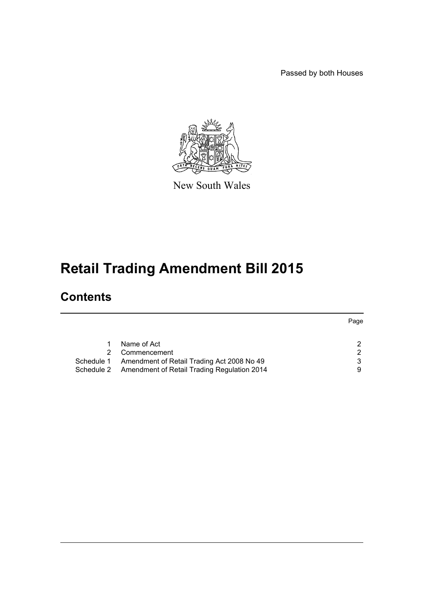Passed by both Houses



New South Wales

# **Retail Trading Amendment Bill 2015**

## **Contents**

|            |                                                        | Page          |
|------------|--------------------------------------------------------|---------------|
|            |                                                        |               |
|            | Name of Act                                            | $\mathcal{D}$ |
|            | Commencement                                           | 2             |
| Schedule 1 | Amendment of Retail Trading Act 2008 No 49             | 3             |
|            | Schedule 2 Amendment of Retail Trading Regulation 2014 | 9             |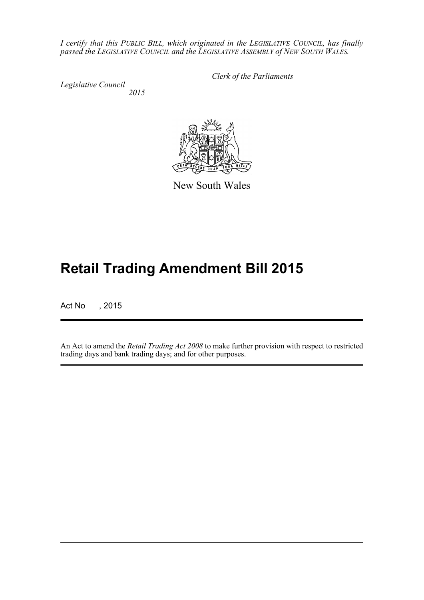*I certify that this PUBLIC BILL, which originated in the LEGISLATIVE COUNCIL, has finally passed the LEGISLATIVE COUNCIL and the LEGISLATIVE ASSEMBLY of NEW SOUTH WALES.*

*Legislative Council 2015* *Clerk of the Parliaments*



New South Wales

# **Retail Trading Amendment Bill 2015**

Act No , 2015

An Act to amend the *Retail Trading Act 2008* to make further provision with respect to restricted trading days and bank trading days; and for other purposes.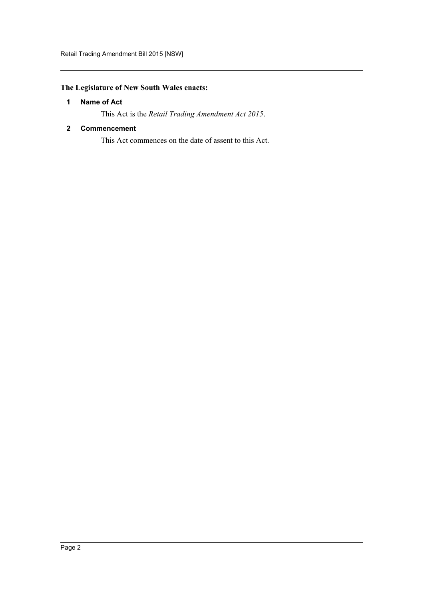### <span id="page-2-0"></span>**The Legislature of New South Wales enacts:**

#### **1 Name of Act**

This Act is the *Retail Trading Amendment Act 2015*.

#### <span id="page-2-1"></span>**2 Commencement**

This Act commences on the date of assent to this Act.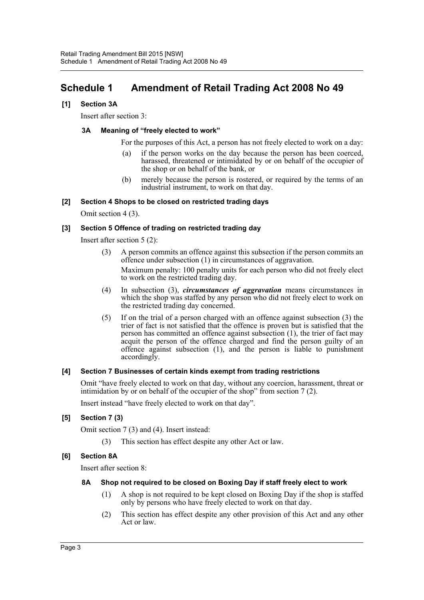## <span id="page-3-0"></span>**Schedule 1 Amendment of Retail Trading Act 2008 No 49**

#### **[1] Section 3A**

Insert after section 3:

#### **3A Meaning of "freely elected to work"**

For the purposes of this Act, a person has not freely elected to work on a day:

- (a) if the person works on the day because the person has been coerced, harassed, threatened or intimidated by or on behalf of the occupier of the shop or on behalf of the bank, or
- (b) merely because the person is rostered, or required by the terms of an industrial instrument, to work on that day.

#### **[2] Section 4 Shops to be closed on restricted trading days**

Omit section 4 (3).

#### **[3] Section 5 Offence of trading on restricted trading day**

Insert after section 5 (2):

(3) A person commits an offence against this subsection if the person commits an offence under subsection (1) in circumstances of aggravation.

Maximum penalty: 100 penalty units for each person who did not freely elect to work on the restricted trading day.

- (4) In subsection (3), *circumstances of aggravation* means circumstances in which the shop was staffed by any person who did not freely elect to work on the restricted trading day concerned.
- (5) If on the trial of a person charged with an offence against subsection (3) the trier of fact is not satisfied that the offence is proven but is satisfied that the person has committed an offence against subsection (1), the trier of fact may acquit the person of the offence charged and find the person guilty of an offence against subsection (1), and the person is liable to punishment accordingly.

#### **[4] Section 7 Businesses of certain kinds exempt from trading restrictions**

Omit "have freely elected to work on that day, without any coercion, harassment, threat or intimidation by or on behalf of the occupier of the shop" from section 7 (2).

Insert instead "have freely elected to work on that day".

#### **[5] Section 7 (3)**

Omit section 7 (3) and (4). Insert instead:

(3) This section has effect despite any other Act or law.

#### **[6] Section 8A**

Insert after section 8:

#### **8A Shop not required to be closed on Boxing Day if staff freely elect to work**

- (1) A shop is not required to be kept closed on Boxing Day if the shop is staffed only by persons who have freely elected to work on that day.
- (2) This section has effect despite any other provision of this Act and any other Act or law.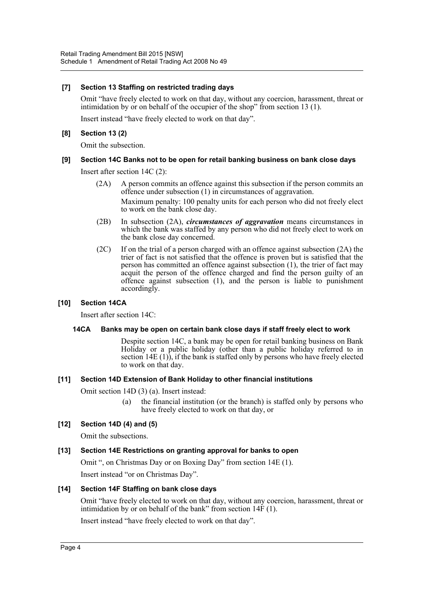#### **[7] Section 13 Staffing on restricted trading days**

Omit "have freely elected to work on that day, without any coercion, harassment, threat or intimidation by or on behalf of the occupier of the shop" from section 13 (1).

Insert instead "have freely elected to work on that day".

#### **[8] Section 13 (2)**

Omit the subsection.

#### **[9] Section 14C Banks not to be open for retail banking business on bank close days**

Insert after section 14C (2):

- (2A) A person commits an offence against this subsection if the person commits an offence under subsection (1) in circumstances of aggravation. Maximum penalty: 100 penalty units for each person who did not freely elect to work on the bank close day.
- (2B) In subsection (2A), *circumstances of aggravation* means circumstances in which the bank was staffed by any person who did not freely elect to work on the bank close day concerned.
- (2C) If on the trial of a person charged with an offence against subsection (2A) the trier of fact is not satisfied that the offence is proven but is satisfied that the person has committed an offence against subsection (1), the trier of fact may acquit the person of the offence charged and find the person guilty of an offence against subsection (1), and the person is liable to punishment accordingly.

#### **[10] Section 14CA**

Insert after section 14C:

#### **14CA Banks may be open on certain bank close days if staff freely elect to work**

Despite section 14C, a bank may be open for retail banking business on Bank Holiday or a public holiday (other than a public holiday referred to in section  $14E(1)$ , if the bank is staffed only by persons who have freely elected to work on that day.

#### **[11] Section 14D Extension of Bank Holiday to other financial institutions**

Omit section 14D (3) (a). Insert instead:

(a) the financial institution (or the branch) is staffed only by persons who have freely elected to work on that day, or

#### **[12] Section 14D (4) and (5)**

Omit the subsections.

#### **[13] Section 14E Restrictions on granting approval for banks to open**

Omit ", on Christmas Day or on Boxing Day" from section 14E (1).

Insert instead "or on Christmas Day".

#### **[14] Section 14F Staffing on bank close days**

Omit "have freely elected to work on that day, without any coercion, harassment, threat or intimidation by or on behalf of the bank" from section  $14\overline{F}(1)$ .

Insert instead "have freely elected to work on that day".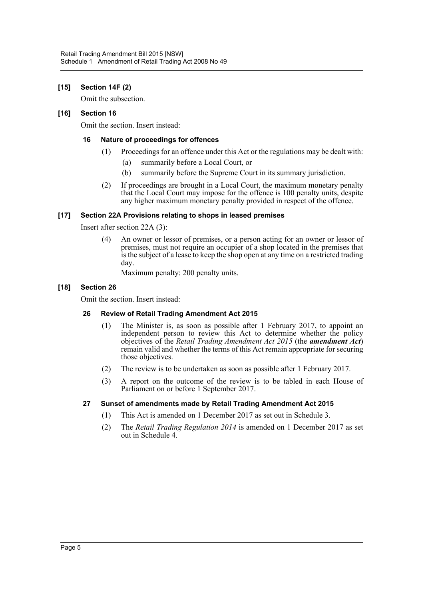#### **[15] Section 14F (2)**

Omit the subsection.

#### **[16] Section 16**

Omit the section. Insert instead:

#### **16 Nature of proceedings for offences**

- (1) Proceedings for an offence under this Act or the regulations may be dealt with:
	- (a) summarily before a Local Court, or
	- (b) summarily before the Supreme Court in its summary jurisdiction.
- (2) If proceedings are brought in a Local Court, the maximum monetary penalty that the Local Court may impose for the offence is 100 penalty units, despite any higher maximum monetary penalty provided in respect of the offence.

#### **[17] Section 22A Provisions relating to shops in leased premises**

Insert after section 22A (3):

(4) An owner or lessor of premises, or a person acting for an owner or lessor of premises, must not require an occupier of a shop located in the premises that is the subject of a lease to keep the shop open at any time on a restricted trading day.

Maximum penalty: 200 penalty units.

#### **[18] Section 26**

Omit the section. Insert instead:

#### **26 Review of Retail Trading Amendment Act 2015**

- (1) The Minister is, as soon as possible after 1 February 2017, to appoint an independent person to review this Act to determine whether the policy objectives of the *Retail Trading Amendment Act 2015* (the *amendment Act*) remain valid and whether the terms of this Act remain appropriate for securing those objectives.
- (2) The review is to be undertaken as soon as possible after 1 February 2017.
- (3) A report on the outcome of the review is to be tabled in each House of Parliament on or before 1 September 2017.

#### **27 Sunset of amendments made by Retail Trading Amendment Act 2015**

- (1) This Act is amended on 1 December 2017 as set out in Schedule 3.
- (2) The *Retail Trading Regulation 2014* is amended on 1 December 2017 as set out in Schedule 4.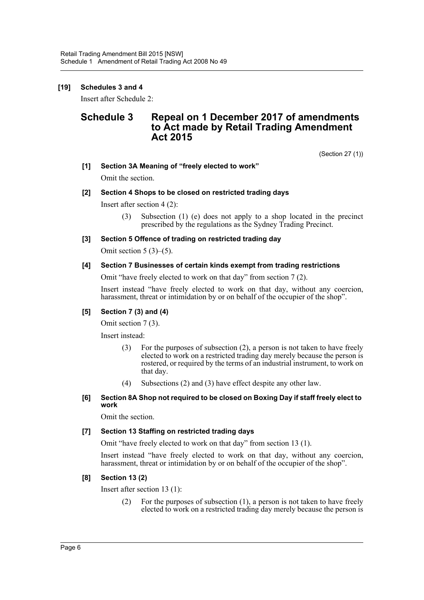#### **[19] Schedules 3 and 4**

Insert after Schedule 2:

## **Schedule 3 Repeal on 1 December 2017 of amendments to Act made by Retail Trading Amendment Act 2015**

(Section 27 (1))

**[1] Section 3A Meaning of "freely elected to work"**

Omit the section.

#### **[2] Section 4 Shops to be closed on restricted trading days**

Insert after section 4 (2):

(3) Subsection (1) (e) does not apply to a shop located in the precinct prescribed by the regulations as the Sydney Trading Precinct.

#### **[3] Section 5 Offence of trading on restricted trading day**

Omit section  $5(3)$ – $(5)$ .

#### **[4] Section 7 Businesses of certain kinds exempt from trading restrictions**

Omit "have freely elected to work on that day" from section 7 (2).

Insert instead "have freely elected to work on that day, without any coercion, harassment, threat or intimidation by or on behalf of the occupier of the shop".

#### **[5] Section 7 (3) and (4)**

Omit section 7 (3).

Insert instead:

- (3) For the purposes of subsection (2), a person is not taken to have freely elected to work on a restricted trading day merely because the person is rostered, or required by the terms of an industrial instrument, to work on that day.
- (4) Subsections (2) and (3) have effect despite any other law.

#### **[6] Section 8A Shop not required to be closed on Boxing Day if staff freely elect to work**

Omit the section.

#### **[7] Section 13 Staffing on restricted trading days**

Omit "have freely elected to work on that day" from section 13 (1).

Insert instead "have freely elected to work on that day, without any coercion, harassment, threat or intimidation by or on behalf of the occupier of the shop".

#### **[8] Section 13 (2)**

Insert after section 13 (1):

(2) For the purposes of subsection (1), a person is not taken to have freely elected to work on a restricted trading day merely because the person is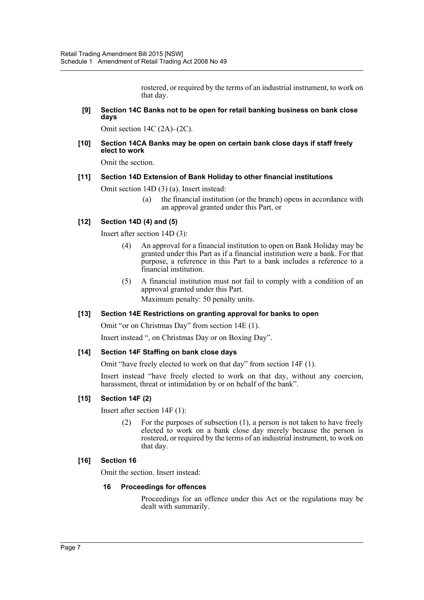rostered, or required by the terms of an industrial instrument, to work on that day.

#### **[9] Section 14C Banks not to be open for retail banking business on bank close days**

Omit section 14C (2A)–(2C).

#### **[10] Section 14CA Banks may be open on certain bank close days if staff freely elect to work**

Omit the section.

#### **[11] Section 14D Extension of Bank Holiday to other financial institutions**

Omit section 14D (3) (a). Insert instead:

(a) the financial institution (or the branch) opens in accordance with an approval granted under this Part, or

#### **[12] Section 14D (4) and (5)**

Insert after section 14D (3):

- (4) An approval for a financial institution to open on Bank Holiday may be granted under this Part as if a financial institution were a bank. For that purpose, a reference in this Part to a bank includes a reference to a financial institution.
- (5) A financial institution must not fail to comply with a condition of an approval granted under this Part.

Maximum penalty: 50 penalty units.

#### **[13] Section 14E Restrictions on granting approval for banks to open**

Omit "or on Christmas Day" from section 14E (1).

Insert instead ", on Christmas Day or on Boxing Day".

#### **[14] Section 14F Staffing on bank close days**

Omit "have freely elected to work on that day" from section 14F (1).

Insert instead "have freely elected to work on that day, without any coercion, harassment, threat or intimidation by or on behalf of the bank".

#### **[15] Section 14F (2)**

Insert after section 14F (1):

(2) For the purposes of subsection (1), a person is not taken to have freely elected to work on a bank close day merely because the person is rostered, or required by the terms of an industrial instrument, to work on that day.

#### **[16] Section 16**

Omit the section. Insert instead:

#### **16 Proceedings for offences**

Proceedings for an offence under this Act or the regulations may be dealt with summarily.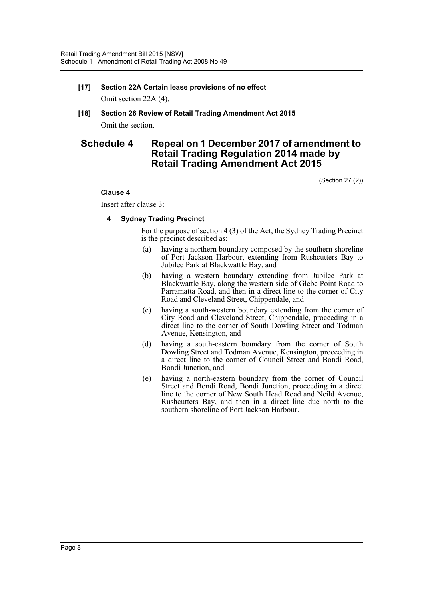### **[17] Section 22A Certain lease provisions of no effect** Omit section 22A (4).

**[18] Section 26 Review of Retail Trading Amendment Act 2015** Omit the section.

## **Schedule 4 Repeal on 1 December 2017 of amendment to Retail Trading Regulation 2014 made by Retail Trading Amendment Act 2015**

(Section 27 (2))

#### **Clause 4**

Insert after clause 3:

#### **4 Sydney Trading Precinct**

For the purpose of section 4 (3) of the Act, the Sydney Trading Precinct is the precinct described as:

- (a) having a northern boundary composed by the southern shoreline of Port Jackson Harbour, extending from Rushcutters Bay to Jubilee Park at Blackwattle Bay, and
- (b) having a western boundary extending from Jubilee Park at Blackwattle Bay, along the western side of Glebe Point Road to Parramatta Road, and then in a direct line to the corner of City Road and Cleveland Street, Chippendale, and
- (c) having a south-western boundary extending from the corner of City Road and Cleveland Street, Chippendale, proceeding in a direct line to the corner of South Dowling Street and Todman Avenue, Kensington, and
- (d) having a south-eastern boundary from the corner of South Dowling Street and Todman Avenue, Kensington, proceeding in a direct line to the corner of Council Street and Bondi Road, Bondi Junction, and
- (e) having a north-eastern boundary from the corner of Council Street and Bondi Road, Bondi Junction, proceeding in a direct line to the corner of New South Head Road and Neild Avenue, Rushcutters Bay, and then in a direct line due north to the southern shoreline of Port Jackson Harbour.